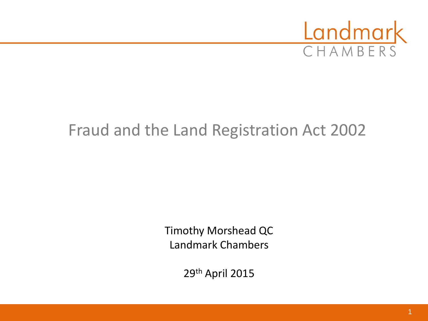

### Fraud and the Land Registration Act 2002

Timothy Morshead QC Landmark Chambers

29th April 2015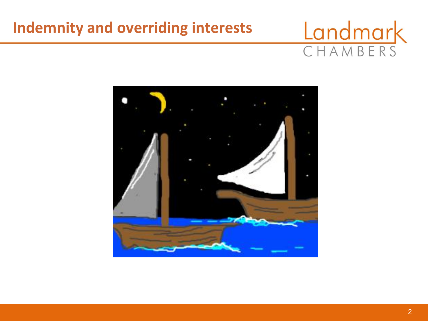#### **Indemnity and overriding interests**

# CHAMBERS

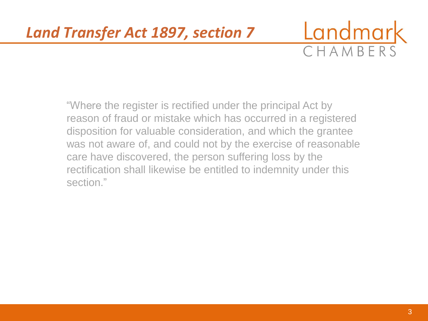

"Where the register is rectified under the principal Act by reason of fraud or mistake which has occurred in a registered disposition for valuable consideration, and which the grantee was not aware of, and could not by the exercise of reasonable care have discovered, the person suffering loss by the rectification shall likewise be entitled to indemnity under this section."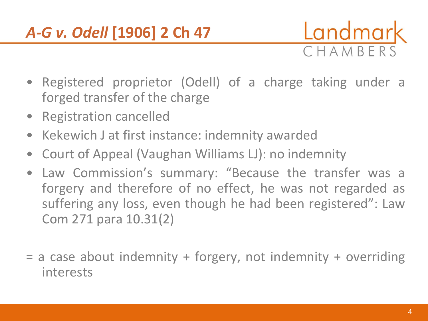#### *A-G v. Odell* **[1906] 2 Ch 47**



- Registered proprietor (Odell) of a charge taking under a forged transfer of the charge
- Registration cancelled
- Kekewich J at first instance: indemnity awarded
- Court of Appeal (Vaughan Williams LJ): no indemnity
- Law Commission's summary: "Because the transfer was a forgery and therefore of no effect, he was not regarded as suffering any loss, even though he had been registered": Law Com 271 para 10.31(2)
- = a case about indemnity + forgery, not indemnity + overriding interests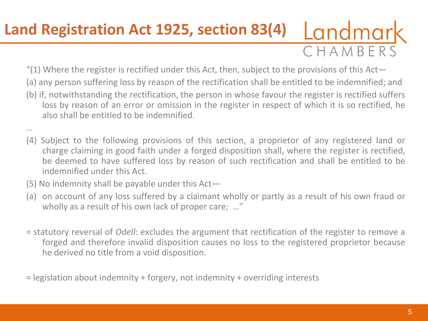## CHAMBERS **Land Registration Act 1925, section 83(4)**

- "(1) Where the register is rectified under this Act, then, subject to the provisions of this Act—
- (a) any person suffering loss by reason of the rectification shall be entitled to be indemnified; and
- (b) if, notwithstanding the rectification, the person in whose favour the register is rectified suffers loss by reason of an error or omission in the register in respect of which it is so rectified, he also shall be entitled to be indemnified.
- …
- (4) Subject to the following provisions of this section, a proprietor of any registered land or charge claiming in good faith under a forged disposition shall, where the register is rectified, be deemed to have suffered loss by reason of such rectification and shall be entitled to be indemnified under this Act.
- (5) No indemnity shall be payable under this Act—
- (a) on account of any loss suffered by a claimant wholly or partly as a result of his own fraud or wholly as a result of his own lack of proper care; …"
- = statutory reversal of *Odell*: excludes the argument that rectification of the register to remove a forged and therefore invalid disposition causes no loss to the registered proprietor because he derived no title from a void disposition.
- = legislation about indemnity + forgery, not indemnity + overriding interests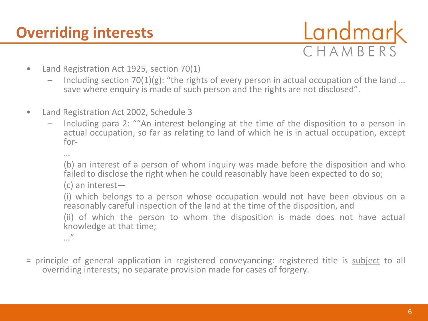CHAMBERS

- Land Registration Act 1925, section 70(1)
	- Including section  $70(1)(g)$ : "the rights of every person in actual occupation of the land ... save where enquiry is made of such person and the rights are not disclosed".
- Land Registration Act 2002, Schedule 3
	- Including para 2: ""An interest belonging at the time of the disposition to a person in actual occupation, so far as relating to land of which he is in actual occupation, except for-

…

(b) an interest of a person of whom inquiry was made before the disposition and who failed to disclose the right when he could reasonably have been expected to do so;

(c) an interest—

(i) which belongs to a person whose occupation would not have been obvious on a reasonably careful inspection of the land at the time of the disposition, and

(ii) of which the person to whom the disposition is made does not have actual knowledge at that time;

…"

= principle of general application in registered conveyancing: registered title is subject to all overriding interests; no separate provision made for cases of forgery.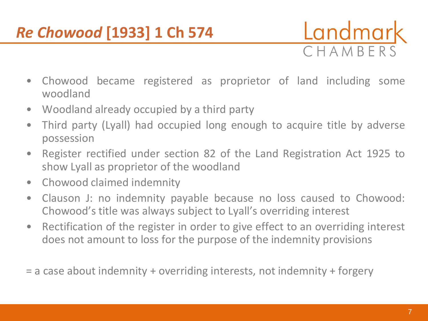### *Re Chowood* **[1933] 1 Ch 574**



- Chowood became registered as proprietor of land including some woodland
- Woodland already occupied by a third party
- Third party (Lyall) had occupied long enough to acquire title by adverse possession
- Register rectified under section 82 of the Land Registration Act 1925 to show Lyall as proprietor of the woodland
- Chowood claimed indemnity
- Clauson J: no indemnity payable because no loss caused to Chowood: Chowood's title was always subject to Lyall's overriding interest
- Rectification of the register in order to give effect to an overriding interest does not amount to loss for the purpose of the indemnity provisions
- = a case about indemnity + overriding interests, not indemnity + forgery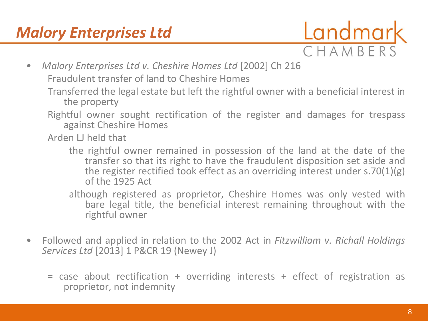

• *Malory Enterprises Ltd v. Cheshire Homes Ltd* [2002] Ch 216

Fraudulent transfer of land to Cheshire Homes

- Transferred the legal estate but left the rightful owner with a beneficial interest in the property
- Rightful owner sought rectification of the register and damages for trespass against Cheshire Homes

Arden LJ held that

- the rightful owner remained in possession of the land at the date of the transfer so that its right to have the fraudulent disposition set aside and the register rectified took effect as an overriding interest under s.70(1)(g) of the 1925 Act
- although registered as proprietor, Cheshire Homes was only vested with bare legal title, the beneficial interest remaining throughout with the rightful owner
- Followed and applied in relation to the 2002 Act in *Fitzwilliam v. Richall Holdings Services Ltd* [2013] 1 P&CR 19 (Newey J)
	- = case about rectification + overriding interests + effect of registration as proprietor, not indemnity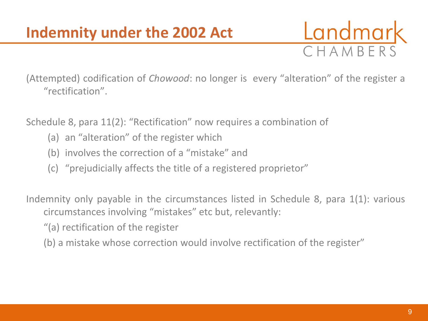

(Attempted) codification of *Chowood*: no longer is every "alteration" of the register a "rectification".

Schedule 8, para 11(2): "Rectification" now requires a combination of

- (a) an "alteration" of the register which
- (b) involves the correction of a "mistake" and
- (c) "prejudicially affects the title of a registered proprietor"

Indemnity only payable in the circumstances listed in Schedule 8, para 1(1): various circumstances involving "mistakes" etc but, relevantly:

"(a) rectification of the register

(b) a mistake whose correction would involve rectification of the register"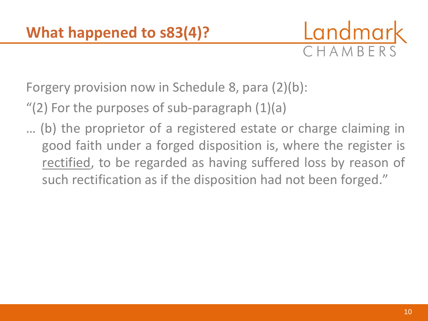

Forgery provision now in Schedule 8, para (2)(b):

 $''(2)$  For the purposes of sub-paragraph  $(1)(a)$ 

… (b) the proprietor of a registered estate or charge claiming in good faith under a forged disposition is, where the register is rectified, to be regarded as having suffered loss by reason of such rectification as if the disposition had not been forged."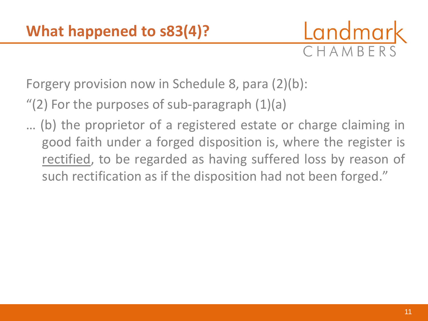

Forgery provision now in Schedule 8, para (2)(b):

"(2) For the purposes of sub-paragraph (1)(a)

… (b) the proprietor of a registered estate or charge claiming in good faith under a forged disposition is, where the register is rectified, to be regarded as having suffered loss by reason of such rectification as if the disposition had not been forged."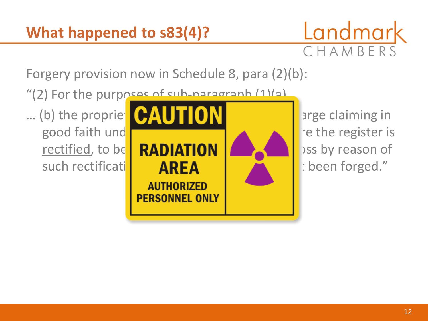

Forgery provision now in Schedule 8, para (2)(b):

"(2) For the purposes of sub-paragraph (1)(a)

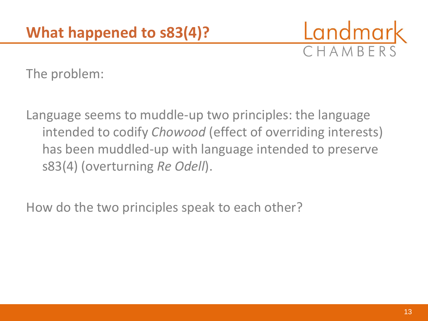

The problem:

Language seems to muddle-up two principles: the language intended to codify *Chowood* (effect of overriding interests) has been muddled-up with language intended to preserve s83(4) (overturning *Re Odell*).

How do the two principles speak to each other?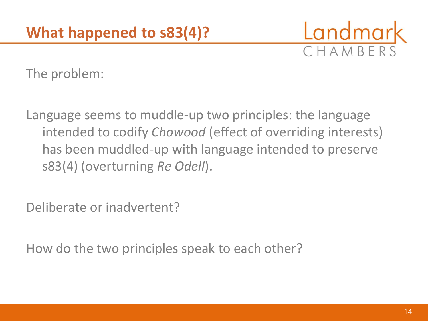

The problem:

Language seems to muddle-up two principles: the language intended to codify *Chowood* (effect of overriding interests) has been muddled-up with language intended to preserve s83(4) (overturning *Re Odell*).

Deliberate or inadvertent?

How do the two principles speak to each other?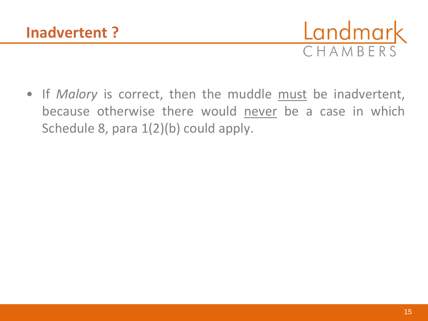

• If *Malory* is correct, then the muddle must be inadvertent, because otherwise there would never be a case in which Schedule 8, para  $1(2)(b)$  could apply.